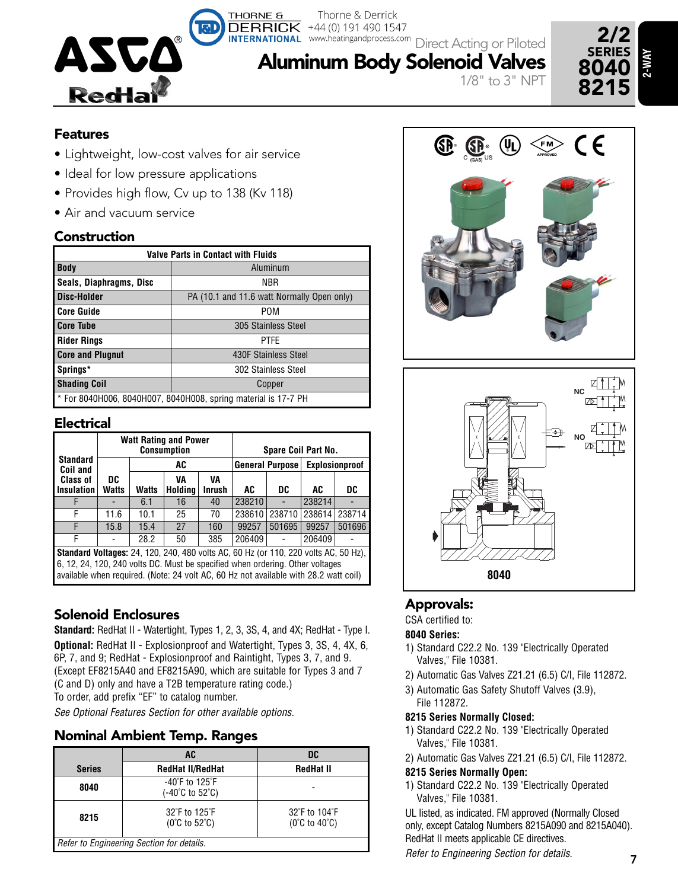

Thorne & Derrick www.heatingandprocess.com Direct Acting or Piloted

1/8" to 3" NPT

# **Features**

• Lightweight, low-cost valves for air service

**THORNE &** 

- Ideal for low pressure applications
- Provides high flow, Cv up to 138 (Kv 118)
- Air and vacuum service

# **Construction**

| <b>Valve Parts in Contact with Fluids</b>                      |                                                                                    |  |  |  |  |  |  |  |  |
|----------------------------------------------------------------|------------------------------------------------------------------------------------|--|--|--|--|--|--|--|--|
| <b>Body</b>                                                    | Aluminum<br><b>NBR</b><br>PA (10.1 and 11.6 watt Normally Open only)<br><b>POM</b> |  |  |  |  |  |  |  |  |
| Seals, Diaphragms, Disc                                        |                                                                                    |  |  |  |  |  |  |  |  |
| Disc-Holder                                                    |                                                                                    |  |  |  |  |  |  |  |  |
| <b>Core Guide</b>                                              |                                                                                    |  |  |  |  |  |  |  |  |
| <b>Core Tube</b>                                               | 305 Stainless Steel                                                                |  |  |  |  |  |  |  |  |
| <b>Rider Rings</b>                                             | <b>PTFE</b>                                                                        |  |  |  |  |  |  |  |  |
| <b>Core and Plugnut</b>                                        | 430F Stainless Steel                                                               |  |  |  |  |  |  |  |  |
| Springs*                                                       | 302 Stainless Steel                                                                |  |  |  |  |  |  |  |  |
| <b>Shading Coil</b>                                            | Copper                                                                             |  |  |  |  |  |  |  |  |
| * For 8040H006, 8040H007, 8040H008, spring material is 17-7 PH |                                                                                    |  |  |  |  |  |  |  |  |

### **Electrical**

|                                                                                                                                                                                                                                                                     |                    |       | <b>Watt Rating and Power</b><br><b>Consumption</b> |                     | Spare Coil Part No. |                 |                |        |  |  |  |
|---------------------------------------------------------------------------------------------------------------------------------------------------------------------------------------------------------------------------------------------------------------------|--------------------|-------|----------------------------------------------------|---------------------|---------------------|-----------------|----------------|--------|--|--|--|
| Standard<br>Coil and                                                                                                                                                                                                                                                |                    |       | AC                                                 |                     |                     | General Purpose | Explosionproof |        |  |  |  |
| <b>Class of</b><br><b>Insulation</b>                                                                                                                                                                                                                                | DC<br><b>Watts</b> | Watts | VA<br>Holding                                      | VA<br><b>Inrush</b> | AC                  | DC              | AC             | DC     |  |  |  |
|                                                                                                                                                                                                                                                                     |                    | 6.1   | 16                                                 | 40                  | 238210              |                 | 238214         |        |  |  |  |
| F                                                                                                                                                                                                                                                                   | 11.6               | 10.1  | 25                                                 | 70                  | 238610              | 238710          | 238614         | 238714 |  |  |  |
| F                                                                                                                                                                                                                                                                   | 15.8               | 15.4  | 27                                                 | 160                 | 99257               | 501695          | 99257          | 501696 |  |  |  |
| F                                                                                                                                                                                                                                                                   |                    | 28.2  | 50                                                 | 385                 | 206409              |                 | 206409         |        |  |  |  |
| <b>Standard Voltages:</b> 24, 120, 240, 480 volts AC, 60 Hz (or 110, 220 volts AC, 50 Hz),<br>6, 12, 24, 120, 240 volts DC. Must be specified when ordering. Other voltages<br>available when required. (Note: 24 volt AC, 60 Hz not available with 28.2 watt coil) |                    |       |                                                    |                     |                     |                 |                |        |  |  |  |

### **Solenoid Enclosures**

**Standard:** RedHat II - Watertight, Types 1, 2, 3, 3S, 4, and 4X; RedHat - Type I. **Optional:** RedHat II - Explosionproof and Watertight, Types 3, 3S, 4, 4X, 6, 6P, 7, and 9; RedHat - Explosionproof and Raintight, Types 3, 7, and 9. (Except EF8215A40 and EF8215A90, which are suitable for Types 3 and 7 (C and D) only and have a T2B temperature rating code.) To order, add prefix "EF" to catalog number. *See Optional Features Section for other available options.*

## **Nominal Ambient Temp. Ranges**

|                                           | AC                                                     | <b>DC</b>                                        |  |  |  |  |  |  |  |
|-------------------------------------------|--------------------------------------------------------|--------------------------------------------------|--|--|--|--|--|--|--|
| <b>Series</b>                             | <b>RedHat II/RedHat</b>                                | <b>RedHat II</b>                                 |  |  |  |  |  |  |  |
| 8040                                      | $-40^{\circ}$ F to 125 $^{\circ}$ F<br>(-40°C to 52°C) |                                                  |  |  |  |  |  |  |  |
| 8215                                      | 32°F to 125°F<br>$(0^{\circ}C$ to 52 $^{\circ}C)$      | 32°F to 104°F<br>$(0^{\circ}C$ to $40^{\circ}C)$ |  |  |  |  |  |  |  |
| Refer to Engineering Section for details. |                                                        |                                                  |  |  |  |  |  |  |  |





## **Approvals:**

CSA certified to:

#### **8040 Series:**

- 1) Standard C22.2 No. 139 "Electrically Operated Valves," File 10381.
- 2) Automatic Gas Valves Z21.21 (6.5) C/I, File 112872.
- 3) Automatic Gas Safety Shutoff Valves (3.9), File 112872.

#### **8215 Series Normally Closed:**

- 1) Standard C22.2 No. 139 "Electrically Operated Valves," File 10381.
- 2) Automatic Gas Valves Z21.21 (6.5) C/I, File 112872.
- **8215 Series Normally Open:**
- 1) Standard C22.2 No. 139 "Electrically Operated Valves," File 10381.

UL listed, as indicated. FM approved (Normally Closed only, except Catalog Numbers 8215A090 and 8215A040). RedHat II meets applicable CE directives.

*Refer to Engineering Section for details.*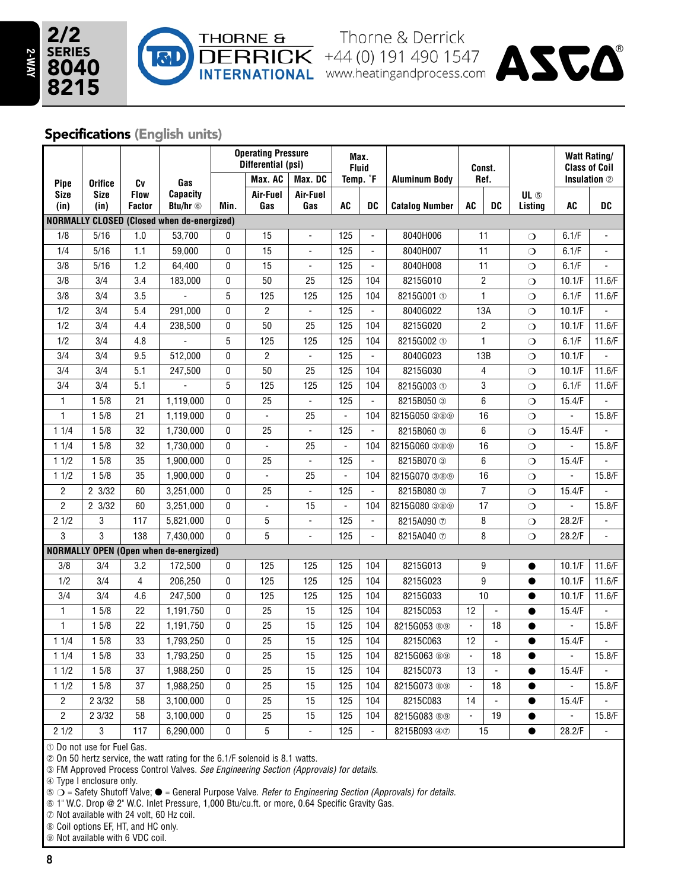

**THORNE &** Thorne & Derrick<br> **DERRICK** +44 (0) 191 490 1547<br> **INTERNATIONAL** www.heatingandprocess.com



## **Specifications (English units)**

|                                                                                                                                                                      |                  |                              |                                               |              | <b>Operating Pressure</b><br>Max.<br>Differential (psi)<br><b>Fluid</b> |                          |                          |                          | Const.                  |                 | <b>Watt Rating/</b><br><b>Class of Coil</b> |                 |                |                          |
|----------------------------------------------------------------------------------------------------------------------------------------------------------------------|------------------|------------------------------|-----------------------------------------------|--------------|-------------------------------------------------------------------------|--------------------------|--------------------------|--------------------------|-------------------------|-----------------|---------------------------------------------|-----------------|----------------|--------------------------|
| Pipe                                                                                                                                                                 | <b>Orifice</b>   | Cv                           | Gas                                           |              | Max. AC                                                                 | Max. DC                  |                          | Temp. <sup>°</sup> F     | <b>Aluminum Body</b>    | Ref.            |                                             |                 |                | Insulation 2             |
| <b>Size</b>                                                                                                                                                          | Size<br>(in)     | <b>Flow</b><br><b>Factor</b> | <b>Capacity</b><br>Btu/hr <sup>6</sup>        | Min.         | Air-Fuel<br>Gas                                                         | Air-Fuel<br>Gas          | <b>AC</b>                | DC                       | <b>Catalog Number</b>   | <b>AC</b>       | DC                                          | UL 5<br>Listing | <b>AC</b>      | <b>DC</b>                |
| (in)                                                                                                                                                                 |                  |                              |                                               |              |                                                                         |                          |                          |                          |                         |                 |                                             |                 |                |                          |
| <b>NORMALLY CLOSED (Closed when de-energized)</b><br>5/16<br>1.0<br>53.700<br>15<br>125<br>8040H006<br>1/8<br>11<br>0<br>$\circ$<br>$\blacksquare$<br>$\blacksquare$ |                  |                              |                                               |              |                                                                         |                          |                          |                          |                         |                 | 6.1/F                                       |                 |                |                          |
|                                                                                                                                                                      | 5/16             | 1.1                          |                                               | 0            | 15                                                                      | $\overline{\phantom{a}}$ |                          | $\overline{\phantom{a}}$ |                         | 11              |                                             |                 |                |                          |
| 1/4                                                                                                                                                                  |                  | 1.2                          | 59,000                                        |              |                                                                         | $\blacksquare$           | 125<br>125               | $\Box$                   | 8040H007                |                 |                                             | $\circ$         | 6.1/F          | $\overline{a}$           |
| 3/8                                                                                                                                                                  | 5/16             |                              | 64,400                                        | 0            | 15                                                                      |                          |                          |                          | 8040H008                |                 | 11                                          | $\circ$         | 6.1/F          |                          |
| 3/8                                                                                                                                                                  | 3/4              | 3.4                          | 183,000                                       | 0            | 50                                                                      | 25                       | 125                      | 104                      | 8215G010                |                 | $\sqrt{2}$                                  | $\circ$         | 10.1/F         | 11.6/F                   |
| 3/8                                                                                                                                                                  | $\overline{3/4}$ | 3.5                          |                                               | 5            | 125                                                                     | 125                      | 125                      | 104                      | 8215G001 ①              |                 | $\mathbf{1}$                                | $\circ$         | 6.1/F          | 11.6/F                   |
| 1/2                                                                                                                                                                  | 3/4              | 5.4                          | 291,000                                       | 0            | $\overline{c}$                                                          | $\blacksquare$           | 125                      | $\blacksquare$           | 8040G022                |                 | 13A                                         | $\circ$         | 10.1/F         |                          |
| 1/2                                                                                                                                                                  | 3/4              | 4.4                          | 238,500                                       | 0            | 50                                                                      | 25                       | 125                      | 104                      | 8215G020                |                 | $\overline{2}$                              | $\circ$         | 10.1/F         | 11.6/F                   |
| 1/2                                                                                                                                                                  | 3/4              | 4.8                          |                                               | 5            | 125                                                                     | 125                      | 125                      | 104                      | 8215G002 ①              |                 | $\mathbf{1}$                                | $\circ$         | 6.1/F          | 11.6/F                   |
| 3/4                                                                                                                                                                  | $\overline{3/4}$ | 9.5                          | 512,000                                       | 0            | $\overline{2}$                                                          | $\blacksquare$           | 125                      | $\overline{\phantom{a}}$ | 8040G023                |                 | 13B                                         | $\circ$         | 10.1/F         | $\overline{a}$           |
| 3/4                                                                                                                                                                  | 3/4              | 5.1                          | 247,500                                       | 0            | 50                                                                      | 25                       | 125                      | 104                      | 8215G030                | $\overline{4}$  |                                             | $\circ$         | 10.1/F         | 11.6/F                   |
| 3/4                                                                                                                                                                  | 3/4              | 5.1                          |                                               | 5            | 125                                                                     | 125                      | 125                      | 104                      | 8215G003 ①              | 3               |                                             | $\circ$         | 6.1/F          | 11.6/F                   |
| 1                                                                                                                                                                    | 15/8             | 21                           | 1,119,000                                     | 0            | 25                                                                      | $\overline{\phantom{a}}$ | 125                      | $\overline{a}$           | 8215B050 3              | 6               |                                             | $\circ$         | 15.4/F         | $\overline{a}$           |
| $\mathbf{1}$                                                                                                                                                         | 15/8             | $\overline{21}$              | 1,119,000                                     | 0            | $\blacksquare$                                                          | 25                       | $\blacksquare$           | 104                      | 8215G050 389            | $\overline{16}$ |                                             | $\circ$         |                | 15.8/F                   |
| 11/4                                                                                                                                                                 | 15/8             | $\overline{32}$              | 1,730,000                                     | 0            | 25                                                                      | $\blacksquare$           | 125                      | $\blacksquare$           | 8215B060 3              | 6               |                                             | $\circ$         | 15.4/F         |                          |
| 11/4                                                                                                                                                                 | 15/8             | 32                           | 1,730,000                                     | 0            | $\overline{a}$                                                          | 25                       | $\overline{\phantom{a}}$ | 104                      | 8215G060 389            | 16              |                                             | $\overline{O}$  |                | 15.8/F                   |
| 11/2                                                                                                                                                                 | 15/8             | 35                           | 1,900,000                                     | 0            | 25                                                                      | $\blacksquare$           | 125                      | $\Box$                   | 8215B070 3              | 6               |                                             | $\circ$         | 15.4/F         |                          |
| 11/2                                                                                                                                                                 | 15/8             | 35                           | 1,900,000                                     | 0            | $\Box$                                                                  | 25                       | $\Box$                   | 104                      | 8215G070 389            | 16              |                                             | $\circ$         | L.             | 15.8/F                   |
| $\overline{2}$                                                                                                                                                       | 23/32            | 60                           | 3,251,000                                     | 0            | 25                                                                      | $\blacksquare$           | 125                      | $\overline{\phantom{a}}$ | 8215B080 3              |                 | $\overline{7}$                              | $\circ$         | 15.4/F         | $\overline{a}$           |
| $\overline{2}$                                                                                                                                                       | 23/32            | 60                           | 3,251,000                                     | 0            | $\blacksquare$                                                          | 15                       | $\blacksquare$           | 104                      | 8215G080 389            |                 | 17                                          | $\circ$         |                | 15.8/F                   |
| 21/2                                                                                                                                                                 | 3                | 117                          | 5,821,000                                     | 0            | 5                                                                       | $\blacksquare$           | 125                      | $\Box$                   | 8215A090 7              |                 | 8                                           | $\circ$         | 28.2/F         |                          |
| 3                                                                                                                                                                    | 3                | 138                          | 7,430,000                                     | $\mathbf{0}$ | 5                                                                       | $\overline{\phantom{a}}$ | 125                      | $\overline{\phantom{a}}$ | 8215A040 7              |                 | 8                                           | $\circ$         | 28.2/F         | $\overline{\phantom{a}}$ |
|                                                                                                                                                                      |                  |                              | <b>NORMALLY OPEN (Open when de-energized)</b> |              |                                                                         |                          |                          |                          |                         |                 |                                             |                 |                |                          |
| 3/8                                                                                                                                                                  | 3/4              | 3.2                          | 172,500                                       | 0            | 125                                                                     | 125                      | 125                      | 104                      | 8215G013                |                 | 9                                           | $\bullet$       | 10.1/F         | 11.6/F                   |
| 1/2                                                                                                                                                                  | 3/4              | $\overline{4}$               | 206,250                                       | 0            | 125                                                                     | 125                      | 125                      | 104                      | 8215G023                |                 | 9                                           | $\bullet$       | 10.1/F         | 11.6/F                   |
| 3/4                                                                                                                                                                  | 3/4              | 4.6                          | 247,500                                       | 0            | 125                                                                     | 125                      | 125                      | 104                      | 8215G033                | 10              |                                             | $\bullet$       | 10.1/F         | 11.6/F                   |
| $\mathbf{1}$                                                                                                                                                         | 15/8             | 22                           | 1,191,750                                     | 0            | 25                                                                      | 15                       | 125                      | 104                      | 8215C053                | 12              | $\overline{\phantom{a}}$                    | $\bullet$       | 15.4/F         | $\blacksquare$           |
| $\mathbf{1}$                                                                                                                                                         | 15/8             | 22                           | 1,191,750                                     | 0            | 25                                                                      | 15                       | 125                      | 104                      | 8215G053 ® <sup>®</sup> | $\Box$          | 18                                          | $\bullet$       | $\overline{a}$ | 15.8/F                   |
| 11/4                                                                                                                                                                 | 15/8             | 33                           | 1,793,250                                     | 0            | 25                                                                      | 15                       | 125                      | 104                      | 8215C063                | 12              | $\blacksquare$                              | $\bullet$       | 15.4/F         |                          |
| 11/4                                                                                                                                                                 | 15/8             | 33                           | 1,793,250                                     | 0            | 25                                                                      | 15                       | 125                      | 104                      | 8215G063 ® <sup>®</sup> | $\Box$          | 18                                          |                 |                | 15.8/F                   |
| 11/2                                                                                                                                                                 | 15/8             | 37                           | 1,988,250                                     | 0            | 25                                                                      | 15                       | 125                      | 104                      | 8215C073                | 13              | $\blacksquare$                              | ●               | 15.4/F         |                          |
| 11/2                                                                                                                                                                 | 15/8             | 37                           | 1,988,250                                     | 0            | $\overline{25}$                                                         | $\overline{15}$          | 125                      | 104                      | 8215G073 89             | $\blacksquare$  | $18$                                        | $\bullet$       |                | 15.8/F                   |
| $\mathbf{2}$                                                                                                                                                         | 23/32            | 58                           | 3,100,000                                     | 0            | $\overline{25}$                                                         | 15                       | 125                      | 104                      | 8215C083                | 14              | $\blacksquare$                              | $\bullet$       | 15.4/F         |                          |
| $\overline{2}$                                                                                                                                                       | 2 3/32           | 58                           | 3,100,000                                     | 0            | $\overline{25}$                                                         | $\overline{15}$          | 125                      | 104                      | 8215G083 89             |                 | 19                                          | $\bullet$       |                | 15.8/F                   |
| 21/2                                                                                                                                                                 | 3                | 117                          | 6,290,000                                     | 0            | 5                                                                       | $\overline{\phantom{a}}$ | 125                      | $\blacksquare$           | 8215B093 47             |                 | 15                                          | $\bullet$       | 28.2/F         | $\overline{a}$           |

 $©$  Do not use for Fuel Gas.

¡ On 50 hertz service, the watt rating for the 6.1/F solenoid is 8.1 watts.

¬ FM Approved Process Control Valves. *See Engineering Section (Approvals) for details.*

√ Type I enclosure only.

ƒ m = Safety Shutoff Valve; l = General Purpose Valve. *Refer to Engineering Section (Approvals) for details.*

≈ 1" W.C. Drop @ 2" W.C. Inlet Pressure, 1,000 Btu/cu.ft. or more, 0.64 Specific Gravity Gas.

∆ Not available with 24 volt, 60 Hz coil.

≥ Coil options EF, HT, and HC only.

 $\circledast$  Not available with 6 VDC coil.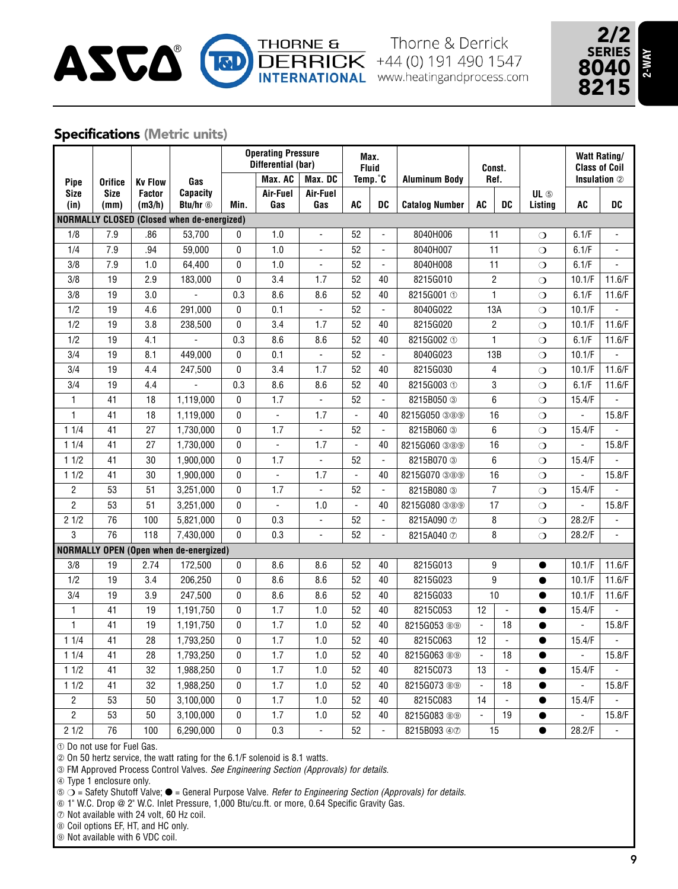



### **Specifications (Metric units)**

|                                  |                     |                         |                                                   |          | <b>Operating Pressure</b><br>Differential (bar) |                       | Max.<br><b>Fluid</b> |                                            |                            | Const.         |                |                 | <b>Watt Rating/</b><br><b>Class of Coil</b> |                                  |
|----------------------------------|---------------------|-------------------------|---------------------------------------------------|----------|-------------------------------------------------|-----------------------|----------------------|--------------------------------------------|----------------------------|----------------|----------------|-----------------|---------------------------------------------|----------------------------------|
| Pipe                             | <b>Orifice</b>      | <b>Kv Flow</b>          | Gas                                               |          | Max. AC                                         | Max. DC               |                      | Temp.°C                                    | <b>Aluminum Body</b>       | Ref.           |                |                 |                                             | Insulation 2                     |
| <b>Size</b><br>(in)              | <b>Size</b><br>(mm) | <b>Factor</b><br>(m3/h) | Capacity<br>Btu/hr <sup>6</sup>                   | Min.     | Air-Fuel<br>Gas                                 | Air-Fuel<br>Gas       | AC                   | DC                                         | <b>Catalog Number</b>      | AC             | DC             | UL 5<br>Listing | AC                                          | DC                               |
|                                  |                     |                         | <b>NORMALLY CLOSED (Closed when de-energized)</b> |          |                                                 |                       |                      |                                            |                            |                |                |                 |                                             |                                  |
| 1/8                              | 7.9                 | .86                     | 53,700                                            | 0        | 1.0                                             |                       | 52                   |                                            | 8040H006                   |                | 11             | $\Omega$        | 6.1/F                                       |                                  |
| 1/4                              | 7.9                 | .94                     | 59,000                                            | 0        | 1.0                                             | $\overline{a}$        | 52                   | $\overline{\phantom{a}}$                   | 8040H007                   | 11             |                | $\circ$         | 6.1/F                                       | $\overline{a}$                   |
| 3/8                              | 7.9                 | 1.0                     | 64,400                                            | 0        | 1.0                                             | ÷,                    | 52                   | $\overline{\phantom{a}}$                   | 8040H008                   | 11             |                | $\circ$         | 6.1/F                                       |                                  |
| $\overline{3/8}$                 | $\overline{19}$     | 2.9                     | 183,000                                           | 0        | 3.4                                             | 1.7                   | 52                   | 40                                         | 8215G010                   |                | $\overline{2}$ | $\overline{O}$  | 10.1/F                                      | 11.6/F                           |
| 3/8                              | 19                  | 3.0                     |                                                   | 0.3      | 8.6                                             | 8.6                   | 52                   | 40                                         | 8215G001 ①                 |                | $\mathbf{1}$   | $\overline{O}$  | 6.1/F                                       | 11.6/F                           |
| 1/2                              | 19                  | 4.6                     | 291,000                                           | 0        | 0.1                                             | $\Box$                | 52                   | $\Box$                                     | 8040G022                   |                | 13A            | $\circ$         | 10.1/F                                      | $\overline{a}$                   |
| 1/2                              | 19                  | 3.8                     | 238.500                                           | 0        | 3.4                                             | 1.7                   | 52                   | 40                                         | 8215G020                   |                | $\overline{2}$ | $\Omega$        | 10.1/F                                      | 11.6/F                           |
|                                  | 19                  | 4.1                     |                                                   |          |                                                 |                       | 52                   | 40                                         |                            |                | $\mathbf{1}$   |                 | 6.1/F                                       |                                  |
| 1/2                              | 19                  |                         |                                                   | 0.3<br>0 | 8.6                                             | 8.6                   | 52                   |                                            | 8215G002 ①                 |                |                | $\circ$         |                                             | 11.6/F                           |
| 3/4                              | 19                  | 8.1                     | 449,000                                           |          | 0.1                                             | $\blacksquare$        |                      | $\Box$                                     | 8040G023                   |                | 13B            | $\circ$         | 10.1/F                                      |                                  |
| 3/4<br>3/4                       | 19                  | 4.4<br>4.4              | 247,500                                           | 0<br>0.3 | 3.4                                             | 1.7                   | 52<br>52             | 40                                         | 8215G030                   | 4              |                | $\circ$         | 10.1/F                                      | 11.6/F                           |
| $\mathbf{1}$                     | 41                  | 18                      |                                                   | 0        | 8.6<br>1.7                                      | 8.6<br>$\overline{a}$ | 52                   | 40<br>$\blacksquare$                       | 8215G003 ①                 | 3<br>6         |                | $\circ$         | 6.1/F                                       | 11.6/F                           |
| $\mathbf{1}$                     | 41                  | 18                      | 1,119,000                                         | 0        | $\blacksquare$                                  | 1.7                   | $\blacksquare$       | 40                                         | 8215B050 3                 | 16             |                | $\overline{O}$  | 15.4/F<br>$\overline{\phantom{a}}$          |                                  |
| 11/4                             | 41                  |                         | 1,119,000                                         | 0        | 1.7                                             | $\blacksquare$        | 52                   | $\blacksquare$                             | 8215G050 389<br>8215B060 3 | 6              |                | $\overline{O}$  |                                             | 15.8/F                           |
|                                  |                     | 27                      | 1,730,000                                         | 0        | $\Box$                                          |                       | $\blacksquare$       |                                            |                            | 16             |                | $\overline{O}$  | 15.4/F<br>÷,                                | 15.8/F                           |
| 11/4<br>11/2                     | 41<br>41            | 27                      | 1,730,000                                         |          | 1.7                                             | 1.7<br>$\omega$       | 52                   | 40<br>$\overline{\phantom{a}}$             | 8215G060 389               | 6              |                | $\circ$         | 15.4/F                                      |                                  |
|                                  |                     | 30                      | 1,900,000                                         | 0        |                                                 |                       | $\Box$               |                                            | 8215B070 3                 |                |                | $\circ$         | $\overline{\phantom{0}}$                    | 15.8/F                           |
| 11/2                             | 41<br>53            | 30                      | 1,900,000                                         | 0        | $\Box$                                          | 1.7                   | 52                   | 40<br>$\Box$                               | 8215G070 389               |                | 16             | $\Omega$        | 15.4/F                                      |                                  |
| $\overline{2}$<br>$\overline{2}$ | $\overline{53}$     | 51<br>$\overline{51}$   | 3,251,000                                         | 0        | 1.7<br>$\blacksquare$                           | $\blacksquare$        | $\blacksquare$       |                                            | 8215B080 3                 |                | $\overline{7}$ | $\Omega$        |                                             |                                  |
| 21/2                             | $\overline{76}$     | 100                     | 3,251,000                                         | 0<br>0   |                                                 | 1.0<br>$\blacksquare$ | 52                   | 40                                         | 8215G080 389               |                | 17             | $\circ$         | 28.2/F                                      | 15.8/F                           |
|                                  | $\overline{76}$     |                         | 5,821,000                                         | 0        | 0.3                                             | ÷,                    |                      | $\overline{\phantom{a}}$<br>$\overline{a}$ | 8215A090 7                 |                | 8              | $\circ$         |                                             | $\blacksquare$<br>$\overline{a}$ |
| 3                                |                     | 118                     | 7.430.000                                         |          | 0.3                                             |                       | 52                   |                                            | 8215A040 7                 |                | 8              | $\overline{O}$  | 28.2/F                                      |                                  |
|                                  |                     |                         | <b>NORMALLY OPEN (Open when de-energized)</b>     |          |                                                 |                       |                      |                                            |                            |                |                |                 |                                             |                                  |
| 3/8                              | 19                  | 2.74                    | 172,500                                           | 0        | 8.6                                             | 8.6                   | 52                   | 40                                         | 8215G013                   | 9              |                | $\bullet$       | 10.1/F                                      | 11.6/F                           |
| 1/2                              | 19                  | 3.4                     | 206,250                                           | 0        | 8.6                                             | 8.6                   | 52                   | 40                                         | 8215G023                   |                | 9              | $\bullet$       | 10.1/F                                      | 11.6/F                           |
| 3/4                              | 19                  | 3.9                     | 247,500                                           | 0        | 8.6                                             | 8.6                   | 52                   | 40                                         | 8215G033                   |                | 10             | $\bullet$       | 10.1/F                                      | 11.6/F                           |
| 1                                | 41                  | 19                      | 1,191,750                                         | 0        | 1.7                                             | 1.0                   | 52                   | 40                                         | 8215C053                   | 12             | $\frac{1}{2}$  | $\bullet$       | 15.4/F                                      |                                  |
| $\mathbf{1}$                     | 41                  | 19                      | 1,191,750                                         | 0        | 1.7                                             | 1.0                   | 52                   | 40                                         | 8215G053 ®®                | $\blacksquare$ | 18             | $\bullet$       |                                             | 15.8/F                           |
| 11/4                             | 41                  | 28                      | 1,793,250                                         | 0        | 1.7                                             | 1.0                   | 52                   | 40                                         | 8215C063                   | 12             | $\blacksquare$ | $\bullet$       | 15.4/F                                      |                                  |
| 11/4                             | 41                  | 28                      | 1,793,250                                         | 0        | 1.7                                             | 1.0                   | 52                   | 40                                         | 8215G063 ®®                | $\blacksquare$ | 18             | 0               |                                             | 15.8/F                           |
| 11/2                             | $\overline{41}$     | $\overline{32}$         | 1,988,250                                         | 0        | 1.7                                             | 1.0                   | 52                   | 40                                         | 8215C073                   | 13             | $\overline{a}$ | $\bullet$       | 15.4/F                                      |                                  |
| 11/2                             | 41                  | 32                      | 1,988,250                                         | 0        | 1.7                                             | 1.0                   | 52                   | 40                                         | 8215G073 ®®                | $\blacksquare$ | 18             | $\bullet$       |                                             | 15.8/F                           |
| $\overline{2}$                   | 53                  | 50                      | 3,100,000                                         | 0        | 1.7                                             | 1.0                   | 52                   | 40                                         | 8215C083                   | 14             | $\blacksquare$ | $\bullet$       | 15.4/F                                      |                                  |
| $\overline{c}$                   | 53                  | 50                      | 3,100,000                                         | 0        | 1.7                                             | 1.0                   | 52                   | 40                                         | 8215G083 89                |                | 19             | $\bullet$       |                                             | 15.8/F                           |
| 21/2                             | 76                  | 100                     | 6,290,000                                         | 0        | 0.3                                             | L.                    | 52                   | $\overline{a}$                             | 8215B093 47                |                | 15             | $\bullet$       | 28.2/F                                      | $\overline{a}$                   |

 $\circledcirc$  Do not use for Fuel Gas.

¡ On 50 hertz service, the watt rating for the 6.1/F solenoid is 8.1 watts.

¬ FM Approved Process Control Valves. *See Engineering Section (Approvals) for details.*

√ Type 1 enclosure only.

ƒ m = Safety Shutoff Valve; l = General Purpose Valve. *Refer to Engineering Section (Approvals) for details.*

≈ 1" W.C. Drop @ 2" W.C. Inlet Pressure, 1,000 Btu/cu.ft. or more, 0.64 Specific Gravity Gas.

∆ Not available with 24 volt, 60 Hz coil.

≥ Coil options EF, HT, and HC only.

 $\circledast$  Not available with 6 VDC coil.